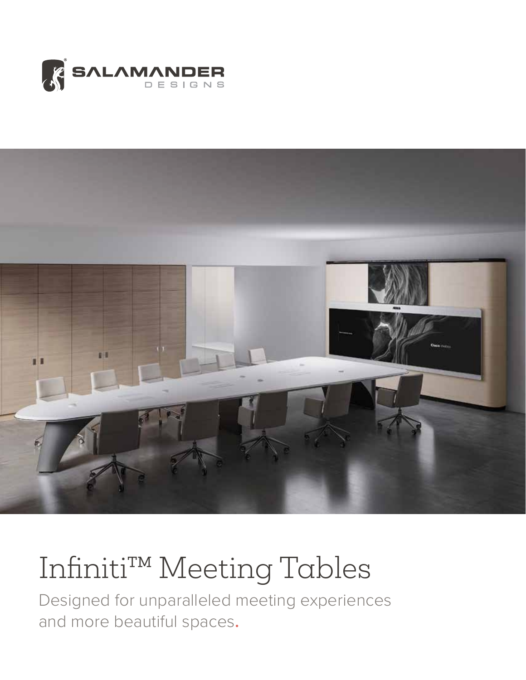



# Infiniti™ Meeting Tables

Designed for unparalleled meeting experiences and more beautiful spaces**.**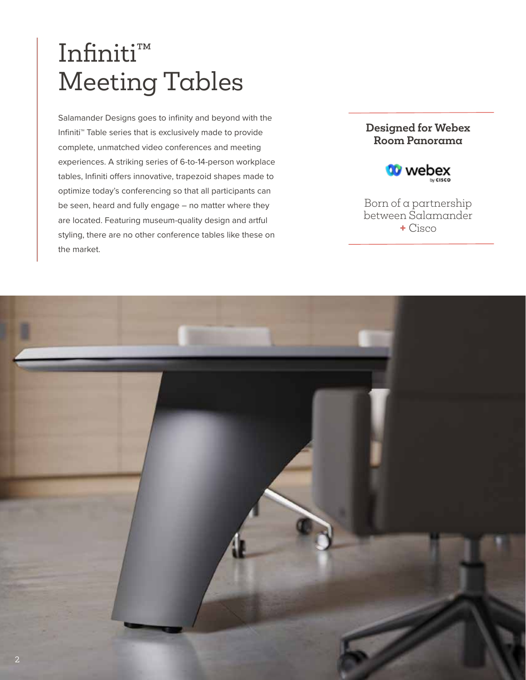## Infiniti™ Meeting Tables

Salamander Designs goes to infinity and beyond with the Infiniti™️ Table series that is exclusively made to provide complete, unmatched video conferences and meeting experiences. A striking series of 6-to-14-person workplace tables, Infiniti offers innovative, trapezoid shapes made to optimize today's conferencing so that all participants can be seen, heard and fully engage – no matter where they are located. Featuring museum-quality design and artful styling, there are no other conference tables like these on the market.

### **Designed for Webex Room Panorama**



Born of a partnership between Salamander **+** Cisco

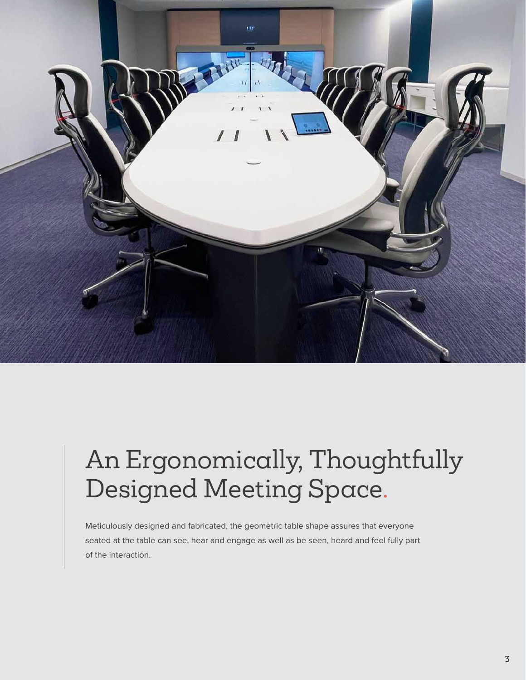

# An Ergonomically, Thoughtfully Designed Meeting Space.

Meticulously designed and fabricated, the geometric table shape assures that everyone seated at the table can see, hear and engage as well as be seen, heard and feel fully part of the interaction.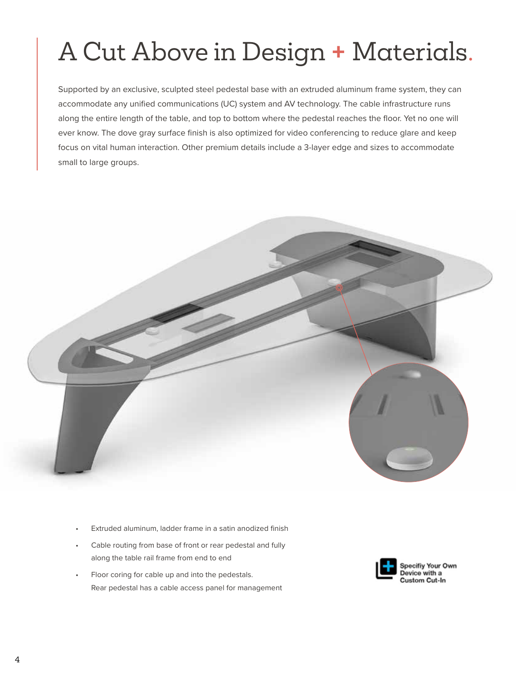# A Cut Above in Design **+** Materials.

Supported by an exclusive, sculpted steel pedestal base with an extruded aluminum frame system, they can accommodate any unified communications (UC) system and AV technology. The cable infrastructure runs along the entire length of the table, and top to bottom where the pedestal reaches the floor. Yet no one will ever know. The dove gray surface finish is also optimized for video conferencing to reduce glare and keep focus on vital human interaction. Other premium details include a 3-layer edge and sizes to accommodate small to large groups.



- Extruded aluminum, ladder frame in a satin anodized finish
- Cable routing from base of front or rear pedestal and fully along the table rail frame from end to end
- Floor coring for cable up and into the pedestals. Rear pedestal has a cable access panel for management

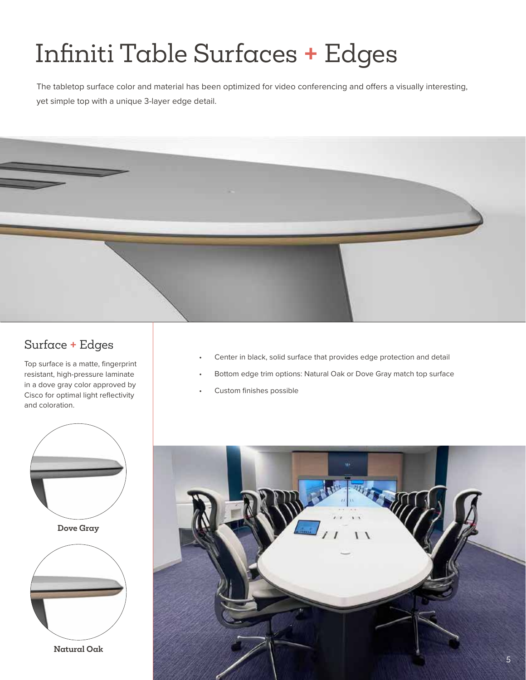# Infiniti Table Surfaces **+** Edges

The tabletop surface color and material has been optimized for video conferencing and offers a visually interesting, yet simple top with a unique 3-layer edge detail.



## Surface **+** Edges

Top surface is a matte, fingerprint resistant, high-pressure laminate in a dove gray color approved by Cisco for optimal light reflectivity and coloration.



- Center in black, solid surface that provides edge protection and detail
- Bottom edge trim options: Natural Oak or Dove Gray match top surface
- Custom finishes possible

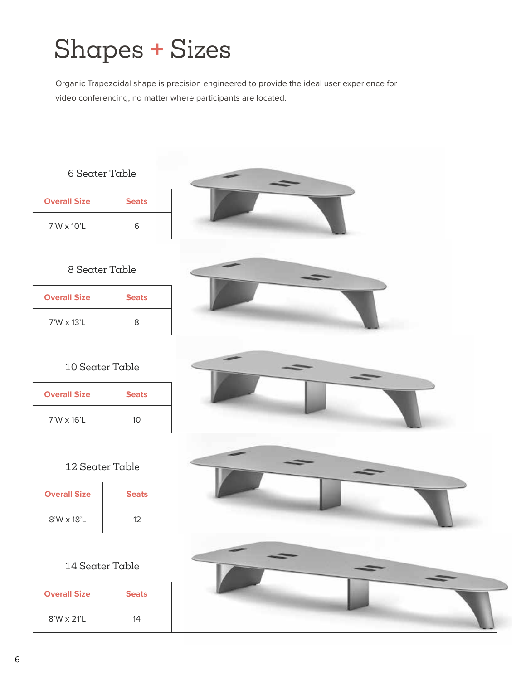# Shapes **+** Sizes

Organic Trapezoidal shape is precision engineered to provide the ideal user experience for video conferencing, no matter where participants are located.